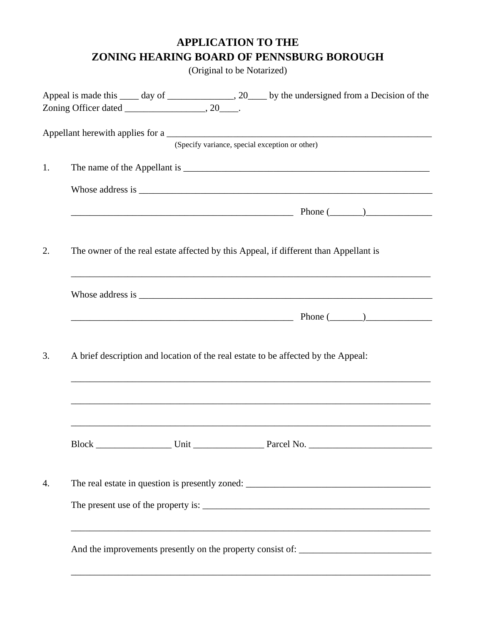## **APPLICATION TO THE ZONING HEARING BOARD OF PENNSBURG BOROUGH**

(Original to be Notarized)

|    | Appeal is made this _____ day of _______________, 20____ by the undersigned from a Decision of the |  |  |
|----|----------------------------------------------------------------------------------------------------|--|--|
|    | Appellant herewith applies for a<br>(Specify variance, special exception or other)                 |  |  |
| 1. |                                                                                                    |  |  |
|    |                                                                                                    |  |  |
|    |                                                                                                    |  |  |
| 2. | The owner of the real estate affected by this Appeal, if different than Appellant is               |  |  |
|    |                                                                                                    |  |  |
|    | $Phone (\_ )$                                                                                      |  |  |
| 3. | A brief description and location of the real estate to be affected by the Appeal:                  |  |  |
|    | ,我们也不能在这里的时候,我们也不能在这里的时候,我们也不能会在这里的时候,我们也不能会在这里的时候,我们也不能会在这里的时候,我们也不能会在这里的时候,我们也不                  |  |  |
|    |                                                                                                    |  |  |
| 4. |                                                                                                    |  |  |
|    | ,我们也不会有什么。""我们的人,我们也不会有什么?""我们的人,我们也不会有什么?""我们的人,我们也不会有什么?""我们的人,我们也不会有什么?""我们的人                   |  |  |
|    |                                                                                                    |  |  |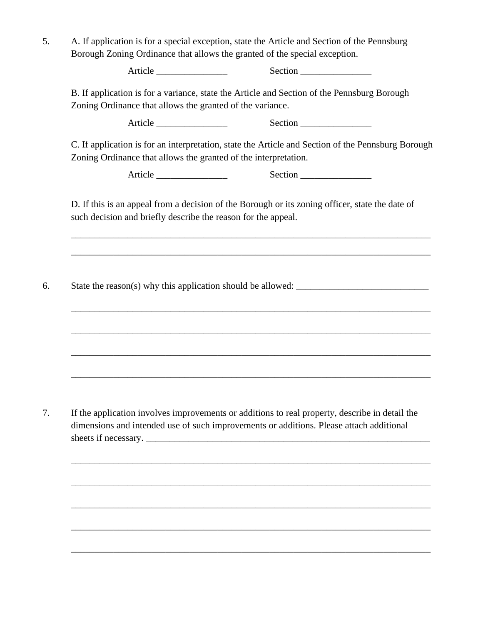5. A. If application is for a special exception, state the Article and Section of the Pennsburg Borough Zoning Ordinance that allows the granted of the special exception.

Article Section  $\overline{\phantom{a}}$ 

B. If application is for a variance, state the Article and Section of the Pennsburg Borough Zoning Ordinance that allows the granted of the variance.

Article \_\_\_\_\_\_\_\_\_\_\_\_\_\_\_ Section \_\_\_\_\_\_\_\_\_\_\_\_\_\_\_

C. If application is for an interpretation, state the Article and Section of the Pennsburg Borough Zoning Ordinance that allows the granted of the interpretation.

Article Section  $\overline{\phantom{a}}$ 

D. If this is an appeal from a decision of the Borough or its zoning officer, state the date of such decision and briefly describe the reason for the appeal.

\_\_\_\_\_\_\_\_\_\_\_\_\_\_\_\_\_\_\_\_\_\_\_\_\_\_\_\_\_\_\_\_\_\_\_\_\_\_\_\_\_\_\_\_\_\_\_\_\_\_\_\_\_\_\_\_\_\_\_\_\_\_\_\_\_\_\_\_\_\_\_\_\_\_\_\_

\_\_\_\_\_\_\_\_\_\_\_\_\_\_\_\_\_\_\_\_\_\_\_\_\_\_\_\_\_\_\_\_\_\_\_\_\_\_\_\_\_\_\_\_\_\_\_\_\_\_\_\_\_\_\_\_\_\_\_\_\_\_\_\_\_\_\_\_\_\_\_\_\_\_\_\_

\_\_\_\_\_\_\_\_\_\_\_\_\_\_\_\_\_\_\_\_\_\_\_\_\_\_\_\_\_\_\_\_\_\_\_\_\_\_\_\_\_\_\_\_\_\_\_\_\_\_\_\_\_\_\_\_\_\_\_\_\_\_\_\_\_\_\_\_\_\_\_\_\_\_\_\_

\_\_\_\_\_\_\_\_\_\_\_\_\_\_\_\_\_\_\_\_\_\_\_\_\_\_\_\_\_\_\_\_\_\_\_\_\_\_\_\_\_\_\_\_\_\_\_\_\_\_\_\_\_\_\_\_\_\_\_\_\_\_\_\_\_\_\_\_\_\_\_\_\_\_\_\_

\_\_\_\_\_\_\_\_\_\_\_\_\_\_\_\_\_\_\_\_\_\_\_\_\_\_\_\_\_\_\_\_\_\_\_\_\_\_\_\_\_\_\_\_\_\_\_\_\_\_\_\_\_\_\_\_\_\_\_\_\_\_\_\_\_\_\_\_\_\_\_\_\_\_\_\_

\_\_\_\_\_\_\_\_\_\_\_\_\_\_\_\_\_\_\_\_\_\_\_\_\_\_\_\_\_\_\_\_\_\_\_\_\_\_\_\_\_\_\_\_\_\_\_\_\_\_\_\_\_\_\_\_\_\_\_\_\_\_\_\_\_\_\_\_\_\_\_\_\_\_\_\_

\_\_\_\_\_\_\_\_\_\_\_\_\_\_\_\_\_\_\_\_\_\_\_\_\_\_\_\_\_\_\_\_\_\_\_\_\_\_\_\_\_\_\_\_\_\_\_\_\_\_\_\_\_\_\_\_\_\_\_\_\_\_\_\_\_\_\_\_\_\_\_\_\_\_\_\_

\_\_\_\_\_\_\_\_\_\_\_\_\_\_\_\_\_\_\_\_\_\_\_\_\_\_\_\_\_\_\_\_\_\_\_\_\_\_\_\_\_\_\_\_\_\_\_\_\_\_\_\_\_\_\_\_\_\_\_\_\_\_\_\_\_\_\_\_\_\_\_\_\_\_\_\_

\_\_\_\_\_\_\_\_\_\_\_\_\_\_\_\_\_\_\_\_\_\_\_\_\_\_\_\_\_\_\_\_\_\_\_\_\_\_\_\_\_\_\_\_\_\_\_\_\_\_\_\_\_\_\_\_\_\_\_\_\_\_\_\_\_\_\_\_\_\_\_\_\_\_\_\_

\_\_\_\_\_\_\_\_\_\_\_\_\_\_\_\_\_\_\_\_\_\_\_\_\_\_\_\_\_\_\_\_\_\_\_\_\_\_\_\_\_\_\_\_\_\_\_\_\_\_\_\_\_\_\_\_\_\_\_\_\_\_\_\_\_\_\_\_\_\_\_\_\_\_\_\_

6. State the reason(s) why this application should be allowed:  $\frac{1}{\frac{1}{1-\frac{1}{1-\frac{1}{1-\frac{1}{1-\frac{1}{1-\frac{1}{1-\frac{1}{1-\frac{1}{1-\frac{1}{1-\frac{1}{1-\frac{1}{1-\frac{1}{1-\frac{1}{1-\frac{1}{1-\frac{1}{1-\frac{1}{1-\frac{1}{1-\frac{1}{1-\frac{1}{1-\frac{1}{1-\frac{1}{1-\frac{1}{1-\frac{1}{1-\frac{1}{1-\frac{1}{1-\frac$ 

7. If the application involves improvements or additions to real property, describe in detail the dimensions and intended use of such improvements or additions. Please attach additional sheets if necessary. \_\_\_\_\_\_\_\_\_\_\_\_\_\_\_\_\_\_\_\_\_\_\_\_\_\_\_\_\_\_\_\_\_\_\_\_\_\_\_\_\_\_\_\_\_\_\_\_\_\_\_\_\_\_\_\_\_\_\_\_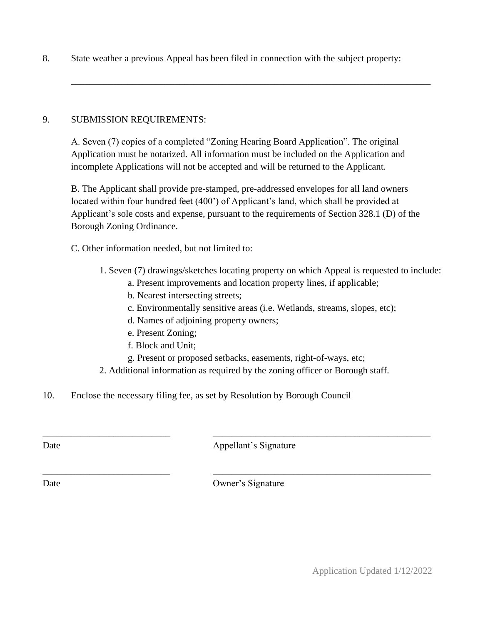8. State weather a previous Appeal has been filed in connection with the subject property:

## 9. SUBMISSION REQUIREMENTS:

A. Seven (7) copies of a completed "Zoning Hearing Board Application". The original Application must be notarized. All information must be included on the Application and incomplete Applications will not be accepted and will be returned to the Applicant.

\_\_\_\_\_\_\_\_\_\_\_\_\_\_\_\_\_\_\_\_\_\_\_\_\_\_\_\_\_\_\_\_\_\_\_\_\_\_\_\_\_\_\_\_\_\_\_\_\_\_\_\_\_\_\_\_\_\_\_\_\_\_\_\_\_\_\_\_\_\_\_\_\_\_\_\_

B. The Applicant shall provide pre-stamped, pre-addressed envelopes for all land owners located within four hundred feet (400') of Applicant's land, which shall be provided at Applicant's sole costs and expense, pursuant to the requirements of Section 328.1 (D) of the Borough Zoning Ordinance.

C. Other information needed, but not limited to:

- 1. Seven (7) drawings/sketches locating property on which Appeal is requested to include:
	- a. Present improvements and location property lines, if applicable;
	- b. Nearest intersecting streets;
	- c. Environmentally sensitive areas (i.e. Wetlands, streams, slopes, etc);
	- d. Names of adjoining property owners;
	- e. Present Zoning;
	- f. Block and Unit;
	- g. Present or proposed setbacks, easements, right-of-ways, etc;

2. Additional information as required by the zoning officer or Borough staff.

\_\_\_\_\_\_\_\_\_\_\_\_\_\_\_\_\_\_\_\_\_\_\_\_\_\_\_ \_\_\_\_\_\_\_\_\_\_\_\_\_\_\_\_\_\_\_\_\_\_\_\_\_\_\_\_\_\_\_\_\_\_\_\_\_\_\_\_\_\_\_\_\_\_

\_\_\_\_\_\_\_\_\_\_\_\_\_\_\_\_\_\_\_\_\_\_\_\_\_\_\_ \_\_\_\_\_\_\_\_\_\_\_\_\_\_\_\_\_\_\_\_\_\_\_\_\_\_\_\_\_\_\_\_\_\_\_\_\_\_\_\_\_\_\_\_\_\_

10. Enclose the necessary filing fee, as set by Resolution by Borough Council

Date Appellant's Signature

Date Owner's Signature

Application Updated 1/12/2022